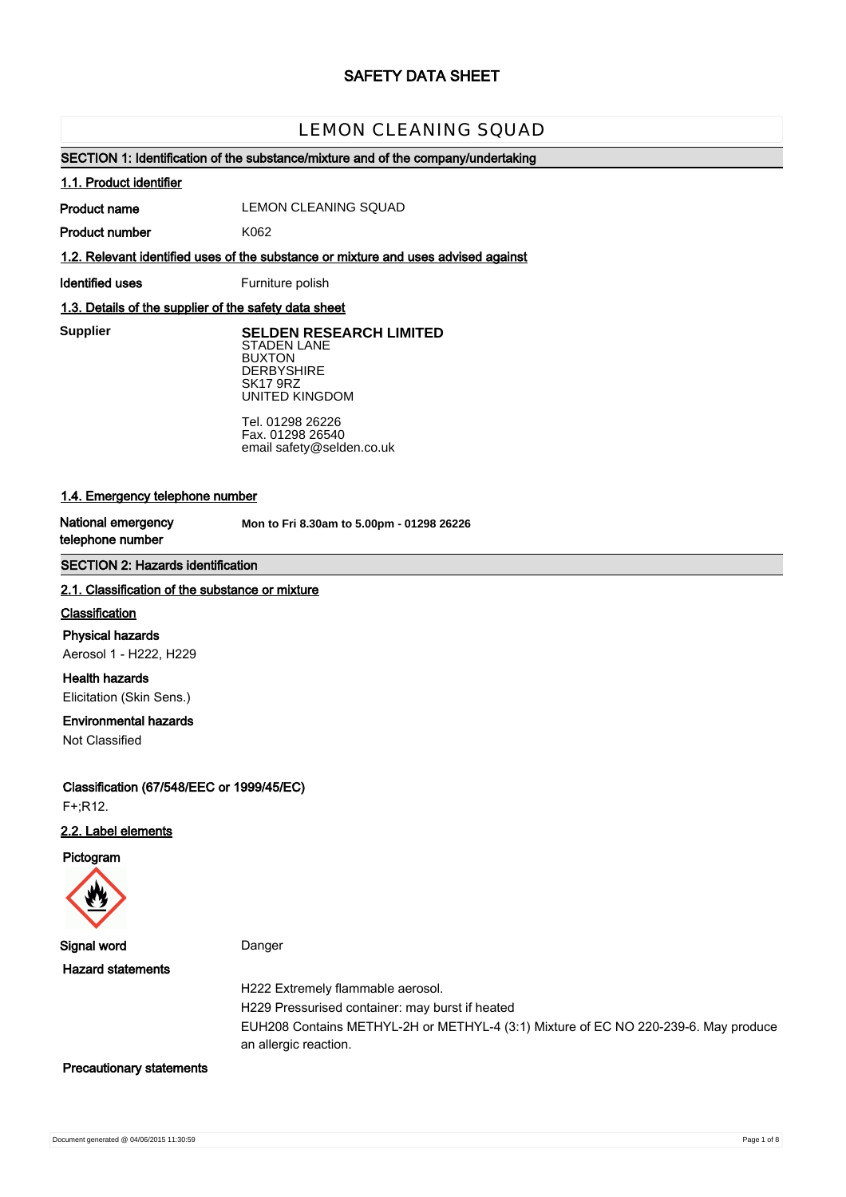# **SAFETY DATA SHEET**

# LEMON CLEANING SQUAD

## **SECTION 1: Identification of the substance/mixture and of the company/undertaking**

#### **1.1. Product identifier**

**Product name**

LEMON CLEANING SQUAD

**Product number**

**1.2. Relevant identified uses of the substance or mixture and uses advised against**

**Identified uses** Furniture polish

K062

## **1.3. Details of the supplier of the safety data sheet**

**Supplier** 

**SELDEN RESEARCH LIMITED** STADEN LANE BUXTON **DERBYSHIRE** SK17 9RZ UNITED KINGDOM

Tel. 01298 26226 Fax. 01298 26540 email safety@selden.co.uk

# **1.4. Emergency telephone number**

**National emergency telephone number**

**Mon to Fri 8.30am to 5.00pm - 01298 26226**

## **SECTION 2: Hazards identification**

#### **2.1. Classification of the substance or mixture**

#### **Classification**

**Physical hazards** Aerosol 1 - H222, H229

**Health hazards** Elicitation (Skin Sens.)

## **Environmental hazards**

Not Classified

**Classification (67/548/EEC or 1999/45/EC)** F+;R12.

## **2.2. Label elements**

**Pictogram**



**Signal word** Danger

**Hazard statements**

H222 Extremely flammable aerosol.

H229 Pressurised container: may burst if heated

EUH208 Contains METHYL-2H or METHYL-4 (3:1) Mixture of EC NO 220-239-6. May produce an allergic reaction.

#### **Precautionary statements**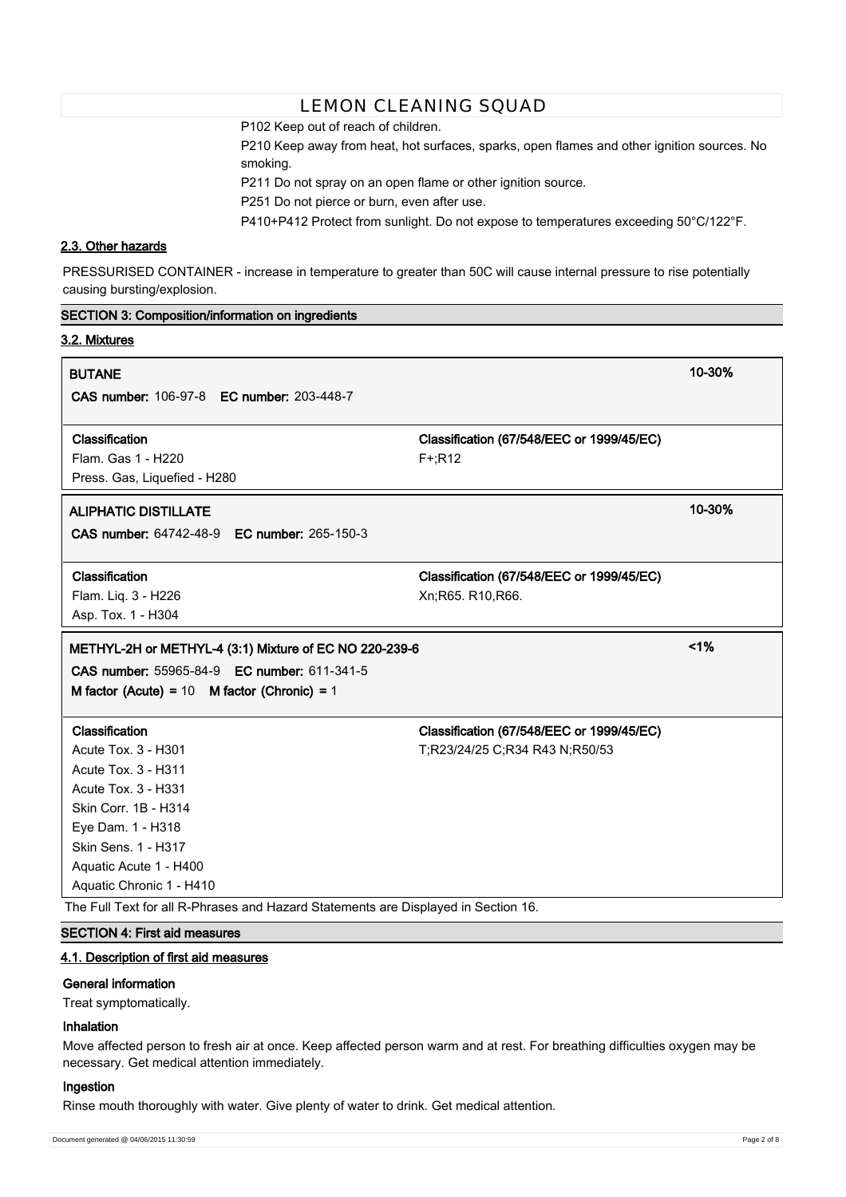P102 Keep out of reach of children.

P210 Keep away from heat, hot surfaces, sparks, open flames and other ignition sources. No smoking.

P211 Do not spray on an open flame or other ignition source.

P251 Do not pierce or burn, even after use.

P410+P412 Protect from sunlight. Do not expose to temperatures exceeding 50°C/122°F.

# **2.3. Other hazards**

**SECTION 3: Composition/information on ingredients**

PRESSURISED CONTAINER - increase in temperature to greater than 50C will cause internal pressure to rise potentially causing bursting/explosion.

| 3.2. Mixtures                                          |                                           |        |
|--------------------------------------------------------|-------------------------------------------|--------|
| <b>BUTANE</b>                                          |                                           | 10-30% |
| <b>CAS number: 106-97-8 EC number: 203-448-7</b>       |                                           |        |
| Classification                                         | Classification (67/548/EEC or 1999/45/EC) |        |
| Flam. Gas 1 - H220                                     | $F + R12$                                 |        |
| Press. Gas, Liquefied - H280                           |                                           |        |
| <b>ALIPHATIC DISTILLATE</b>                            |                                           | 10-30% |
| CAS number: 64742-48-9 EC number: 265-150-3            |                                           |        |
| Classification                                         | Classification (67/548/EEC or 1999/45/EC) |        |
| Flam. Liq. 3 - H226                                    | Xn;R65. R10,R66.                          |        |
| Asp. Tox. 1 - H304                                     |                                           |        |
| METHYL-2H or METHYL-4 (3:1) Mixture of EC NO 220-239-6 |                                           | 1%     |
|                                                        |                                           |        |
| CAS number: 55965-84-9 EC number: 611-341-5            |                                           |        |
| M factor (Acute) = $10$ M factor (Chronic) = $1$       |                                           |        |
| Classification                                         | Classification (67/548/EEC or 1999/45/EC) |        |
| <b>Acute Tox. 3 - H301</b>                             | T;R23/24/25 C;R34 R43 N;R50/53            |        |
| <b>Acute Tox. 3 - H311</b>                             |                                           |        |
| <b>Acute Tox. 3 - H331</b>                             |                                           |        |
| Skin Corr. 1B - H314                                   |                                           |        |
| Eye Dam. 1 - H318                                      |                                           |        |
| Skin Sens. 1 - H317                                    |                                           |        |
| Aquatic Acute 1 - H400                                 |                                           |        |
| Aquatic Chronic 1 - H410                               |                                           |        |

# **SECTION 4: First aid measures**

# **4.1. Description of first aid measures**

#### **General information**

Treat symptomatically.

## **Inhalation**

Move affected person to fresh air at once. Keep affected person warm and at rest. For breathing difficulties oxygen may be necessary. Get medical attention immediately.

#### **Ingestion**

Rinse mouth thoroughly with water. Give plenty of water to drink. Get medical attention.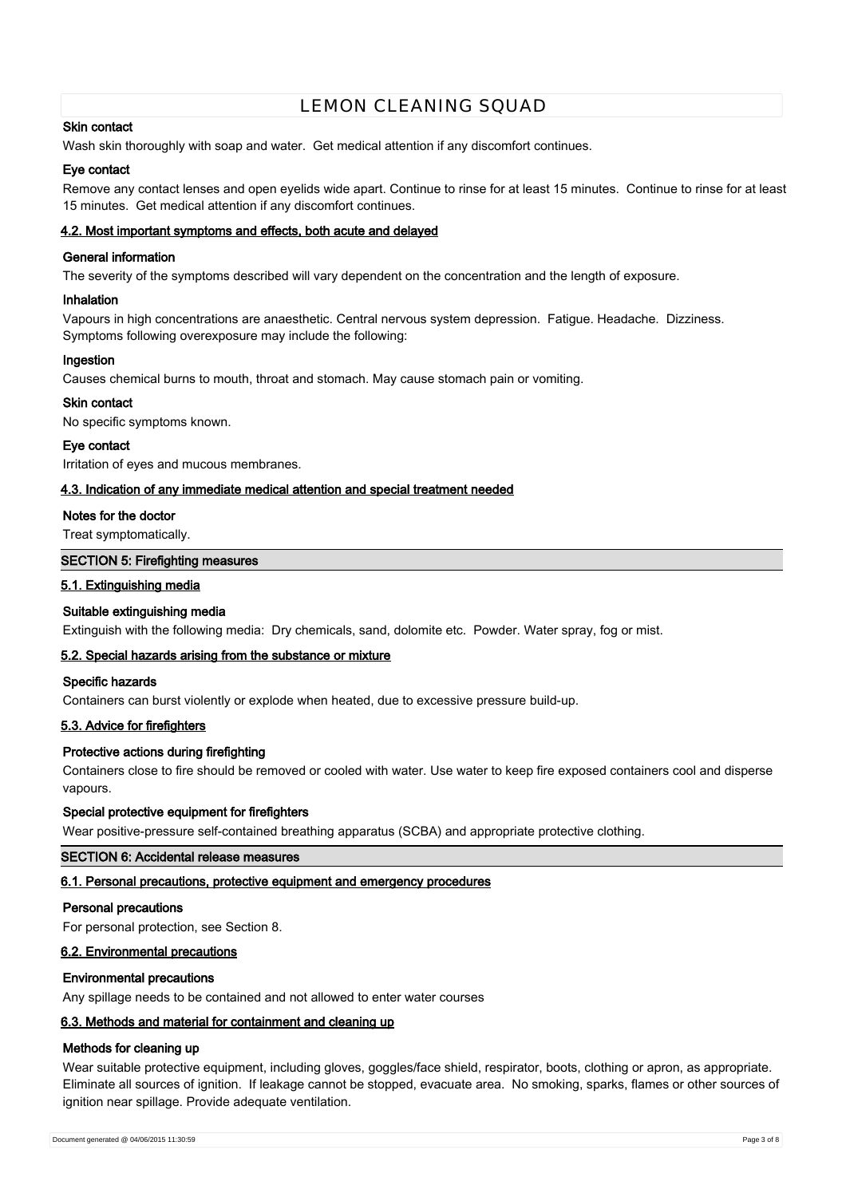## **Skin contact**

Wash skin thoroughly with soap and water. Get medical attention if any discomfort continues.

## **Eye contact**

Remove any contact lenses and open eyelids wide apart. Continue to rinse for at least 15 minutes. Continue to rinse for at least 15 minutes. Get medical attention if any discomfort continues.

## **4.2. Most important symptoms and effects, both acute and delayed**

## **General information**

The severity of the symptoms described will vary dependent on the concentration and the length of exposure.

## **Inhalation**

Vapours in high concentrations are anaesthetic. Central nervous system depression. Fatigue. Headache. Dizziness. Symptoms following overexposure may include the following:

## **Ingestion**

Causes chemical burns to mouth, throat and stomach. May cause stomach pain or vomiting.

## **Skin contact**

No specific symptoms known.

#### **Eye contact**

Irritation of eyes and mucous membranes.

## **4.3. Indication of any immediate medical attention and special treatment needed**

## **Notes for the doctor**

Treat symptomatically.

## **SECTION 5: Firefighting measures**

## **5.1. Extinguishing media**

## **Suitable extinguishing media**

Extinguish with the following media: Dry chemicals, sand, dolomite etc. Powder. Water spray, fog or mist.

## **5.2. Special hazards arising from the substance or mixture**

#### **Specific hazards**

Containers can burst violently or explode when heated, due to excessive pressure build-up.

## **5.3. Advice for firefighters**

## **Protective actions during firefighting**

Containers close to fire should be removed or cooled with water. Use water to keep fire exposed containers cool and disperse vapours.

#### **Special protective equipment for firefighters**

Wear positive-pressure self-contained breathing apparatus (SCBA) and appropriate protective clothing.

## **SECTION 6: Accidental release measures**

## **6.1. Personal precautions, protective equipment and emergency procedures**

#### **Personal precautions**

For personal protection, see Section 8.

#### **6.2. Environmental precautions**

#### **Environmental precautions**

Any spillage needs to be contained and not allowed to enter water courses

# **6.3. Methods and material for containment and cleaning up**

## **Methods for cleaning up**

Wear suitable protective equipment, including gloves, goggles/face shield, respirator, boots, clothing or apron, as appropriate. Eliminate all sources of ignition. If leakage cannot be stopped, evacuate area. No smoking, sparks, flames or other sources of ignition near spillage. Provide adequate ventilation.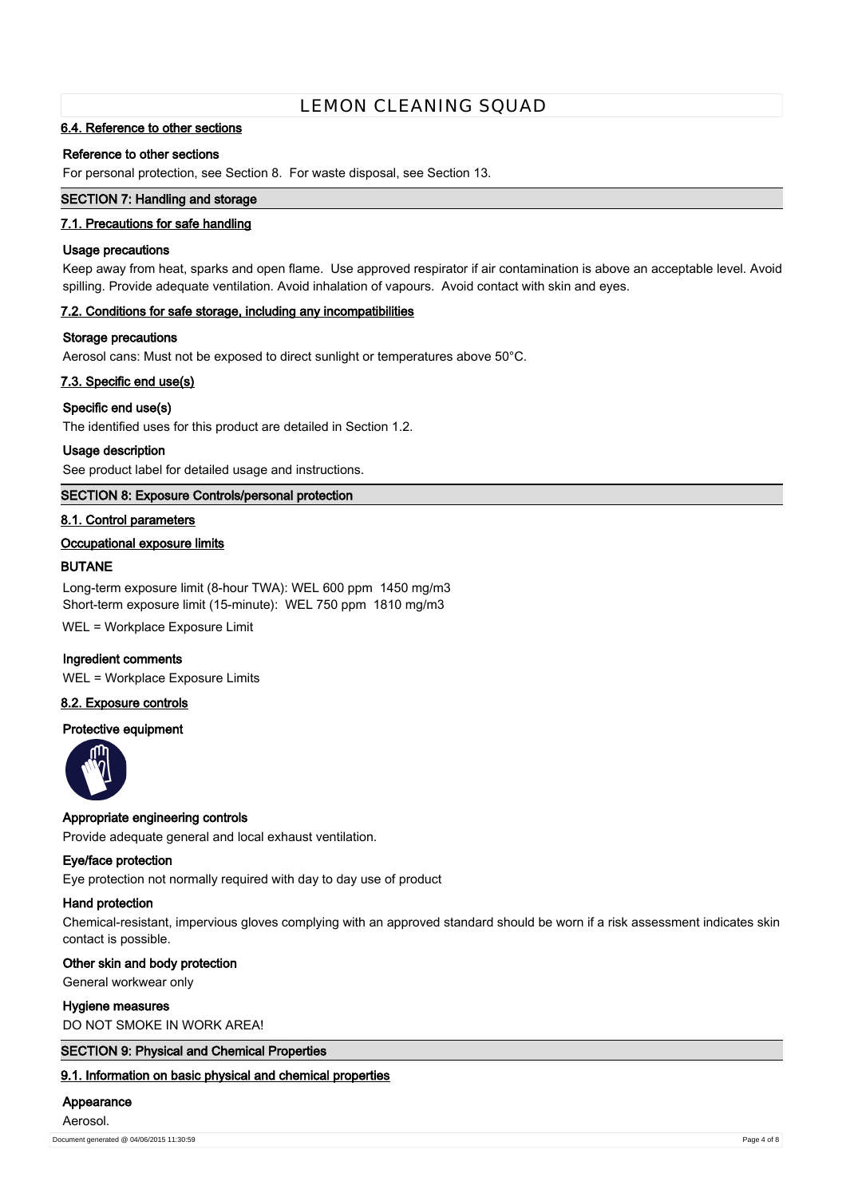## **6.4. Reference to other sections**

## **Reference to other sections**

For personal protection, see Section 8. For waste disposal, see Section 13.

## **SECTION 7: Handling and storage**

## **7.1. Precautions for safe handling**

## **Usage precautions**

Keep away from heat, sparks and open flame. Use approved respirator if air contamination is above an acceptable level. Avoid spilling. Provide adequate ventilation. Avoid inhalation of vapours. Avoid contact with skin and eyes.

## **7.2. Conditions for safe storage, including any incompatibilities**

#### **Storage precautions**

Aerosol cans: Must not be exposed to direct sunlight or temperatures above 50°C.

## **7.3. Specific end use(s)**

## **Specific end use(s)**

The identified uses for this product are detailed in Section 1.2.

#### **Usage description**

See product label for detailed usage and instructions.

## **SECTION 8: Exposure Controls/personal protection**

## **8.1. Control parameters**

## **Occupational exposure limits**

## **BUTANE**

Long-term exposure limit (8-hour TWA): WEL 600 ppm 1450 mg/m3 Short-term exposure limit (15-minute): WEL 750 ppm 1810 mg/m3

WEL = Workplace Exposure Limit

## **Ingredient comments**

WEL = Workplace Exposure Limits

## **8.2. Exposure controls**

# **Protective equipment**



## **Appropriate engineering controls**

Provide adequate general and local exhaust ventilation.

#### **Eye/face protection**

Eye protection not normally required with day to day use of product

#### **Hand protection**

Chemical-resistant, impervious gloves complying with an approved standard should be worn if a risk assessment indicates skin contact is possible.

#### **Other skin and body protection**

General workwear only

## **Hygiene measures**

DO NOT SMOKE IN WORK AREA!

## **SECTION 9: Physical and Chemical Properties**

**9.1. Information on basic physical and chemical properties**

## **Appearance**

Aerosol.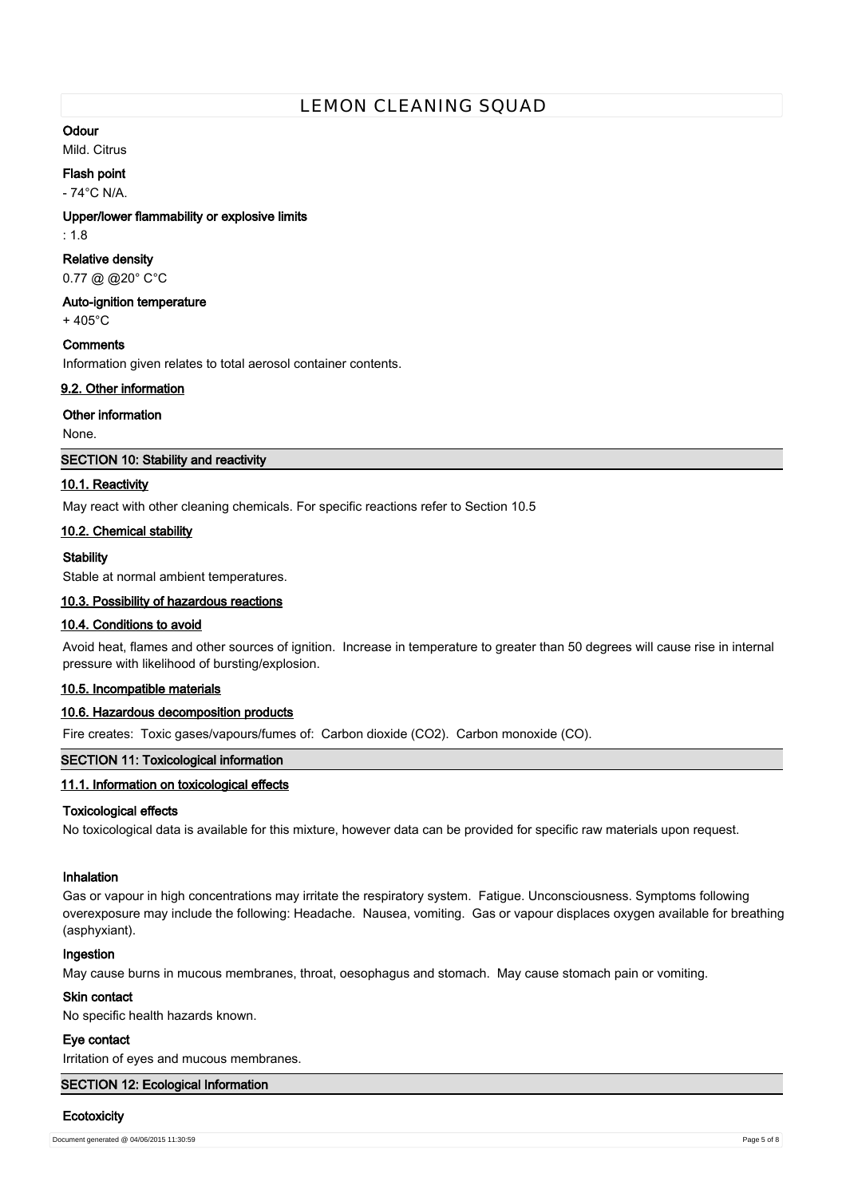## **Odour**

Mild. Citrus

# **Flash point**

- 74°C N/A.

## **Upper/lower flammability or explosive limits**

: 1.8

## **Relative density**

0.77 @ @20° C°C

## **Auto-ignition temperature**

 $+405^{\circ}$ C

## **Comments**

Information given relates to total aerosol container contents.

## **9.2. Other information**

## **Other information**

None.

## **SECTION 10: Stability and reactivity**

## **10.1. Reactivity**

May react with other cleaning chemicals. For specific reactions refer to Section 10.5

## **10.2. Chemical stability**

## **Stability**

Stable at normal ambient temperatures.

## **10.3. Possibility of hazardous reactions**

## **10.4. Conditions to avoid**

Avoid heat, flames and other sources of ignition. Increase in temperature to greater than 50 degrees will cause rise in internal pressure with likelihood of bursting/explosion.

## **10.5. Incompatible materials**

## **10.6. Hazardous decomposition products**

Fire creates: Toxic gases/vapours/fumes of: Carbon dioxide (CO2). Carbon monoxide (CO).

## **SECTION 11: Toxicological information**

## **11.1. Information on toxicological effects**

## **Toxicological effects**

No toxicological data is available for this mixture, however data can be provided for specific raw materials upon request.

# **Inhalation**

Gas or vapour in high concentrations may irritate the respiratory system. Fatigue. Unconsciousness. Symptoms following overexposure may include the following: Headache. Nausea, vomiting. Gas or vapour displaces oxygen available for breathing (asphyxiant).

## **Ingestion**

May cause burns in mucous membranes, throat, oesophagus and stomach. May cause stomach pain or vomiting.

## **Skin contact**

No specific health hazards known.

## **Eye contact**

Irritation of eyes and mucous membranes.

## **SECTION 12: Ecological Information**

#### **Ecotoxicity**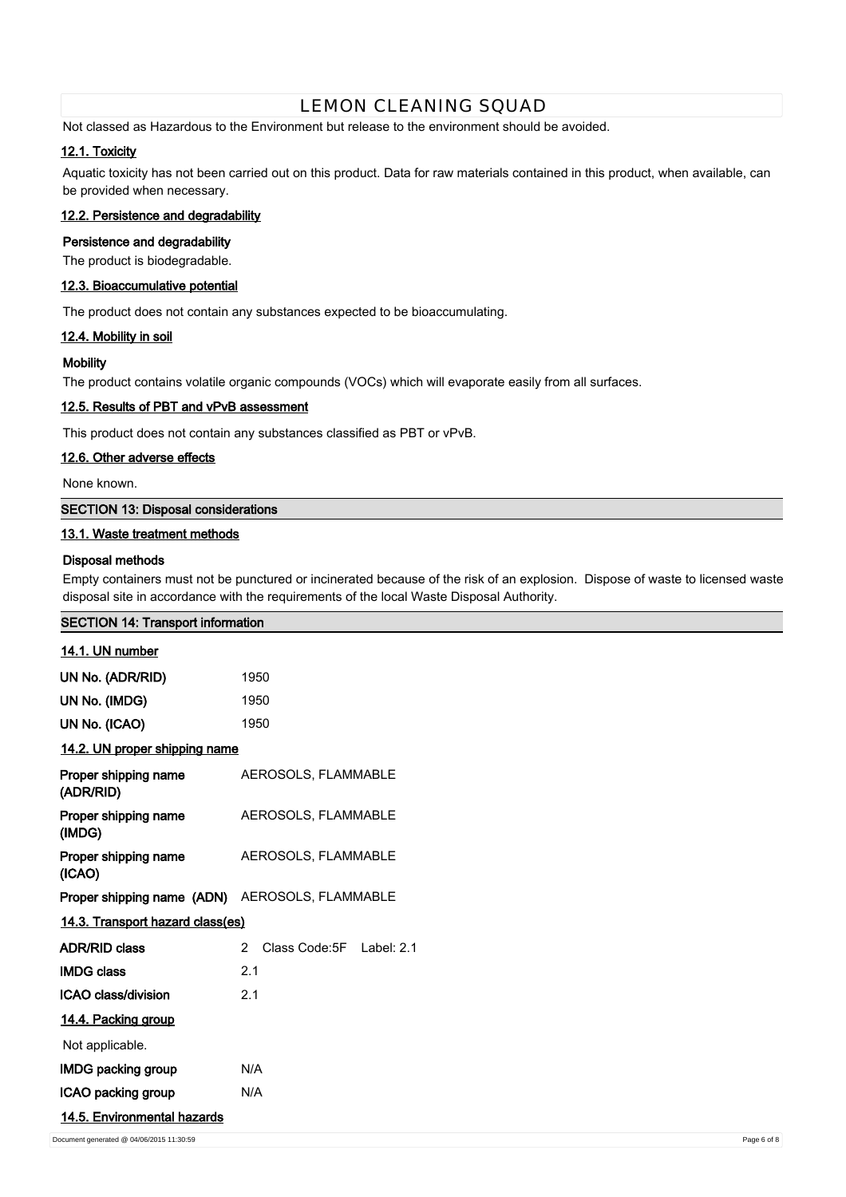Not classed as Hazardous to the Environment but release to the environment should be avoided.

## **12.1. Toxicity**

Aquatic toxicity has not been carried out on this product. Data for raw materials contained in this product, when available, can be provided when necessary.

# **12.2. Persistence and degradability**

## **Persistence and degradability**

The product is biodegradable.

## **12.3. Bioaccumulative potential**

The product does not contain any substances expected to be bioaccumulating.

## **12.4. Mobility in soil**

## **Mobility**

The product contains volatile organic compounds (VOCs) which will evaporate easily from all surfaces.

## **12.5. Results of PBT and vPvB assessment**

This product does not contain any substances classified as PBT or vPvB.

## **12.6. Other adverse effects**

None known.

# **SECTION 13: Disposal considerations**

## **13.1. Waste treatment methods**

## **Disposal methods**

Empty containers must not be punctured or incinerated because of the risk of an explosion. Dispose of waste to licensed waste disposal site in accordance with the requirements of the local Waste Disposal Authority.

| <b>SECTION 14: Transport information</b>       |                                           |
|------------------------------------------------|-------------------------------------------|
| 14.1. UN number                                |                                           |
| UN No. (ADR/RID)                               | 1950                                      |
| UN No. (IMDG)                                  | 1950                                      |
| UN No. (ICAO)                                  | 1950                                      |
| 14.2. UN proper shipping name                  |                                           |
| Proper shipping name<br>(ADR/RID)              | AEROSOLS, FLAMMABLE                       |
| Proper shipping name<br>(IMDG)                 | AEROSOLS, FLAMMABLE                       |
| Proper shipping name<br>(ICAO)                 | AEROSOLS, FLAMMABLE                       |
| Proper shipping name (ADN) AEROSOLS, FLAMMABLE |                                           |
| 14.3. Transport hazard class(es)               |                                           |
| <b>ADR/RID class</b>                           | $\mathbf{2}$<br>Class Code: 5F Label: 2.1 |
| <b>IMDG class</b>                              | 2.1                                       |
| ICAO class/division                            | 2.1                                       |
| 14.4. Packing group                            |                                           |
| Not applicable.                                |                                           |
| <b>IMDG packing group</b>                      | N/A                                       |
| ICAO packing group                             | N/A                                       |
| 14.5. Environmental hazards                    |                                           |
| Document generated @ 04/06/2015 11:30:59       | Page 6 of 8                               |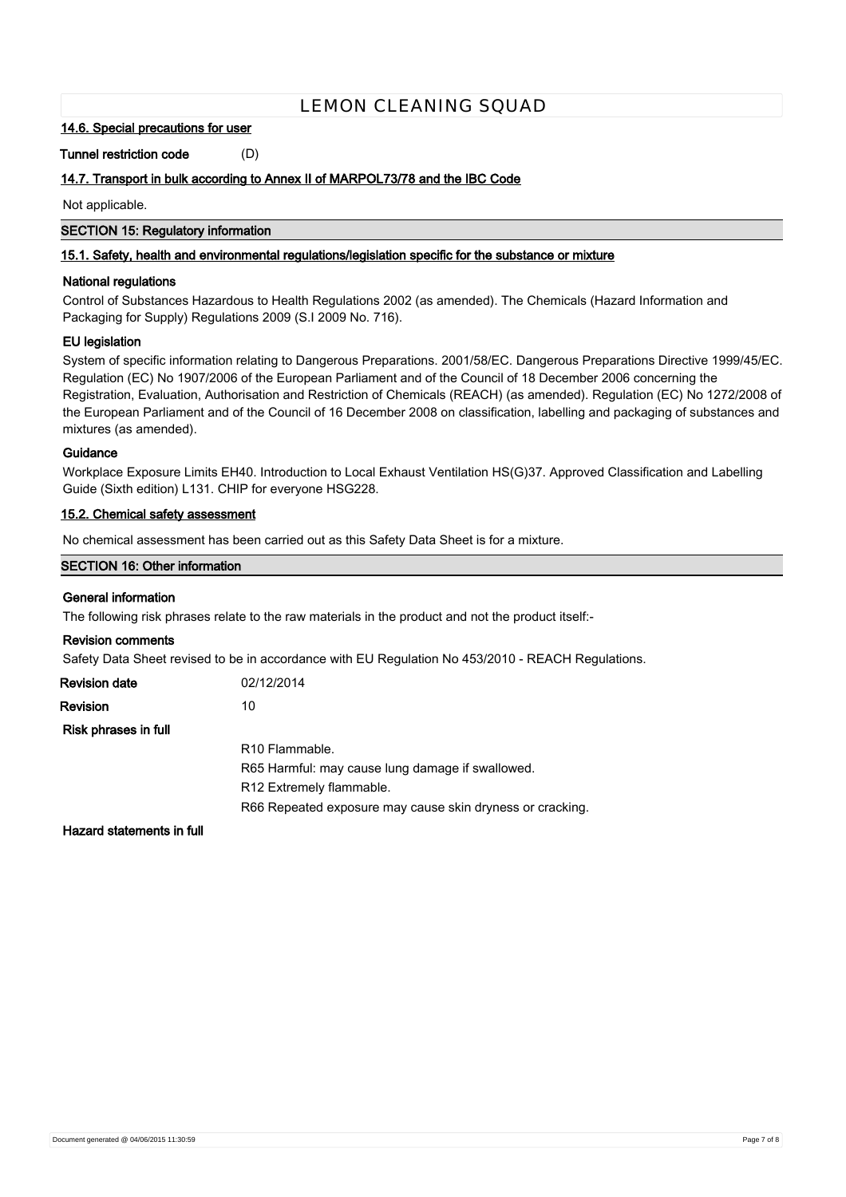#### **14.6. Special precautions for user**

**Tunnel restriction code** (D)

## **14.7. Transport in bulk according to Annex II of MARPOL73/78 and the IBC Code**

Not applicable.

## **SECTION 15: Regulatory information**

## **15.1. Safety, health and environmental regulations/legislation specific for the substance or mixture**

## **National regulations**

Control of Substances Hazardous to Health Regulations 2002 (as amended). The Chemicals (Hazard Information and Packaging for Supply) Regulations 2009 (S.I 2009 No. 716).

## **EU legislation**

System of specific information relating to Dangerous Preparations. 2001/58/EC. Dangerous Preparations Directive 1999/45/EC. Regulation (EC) No 1907/2006 of the European Parliament and of the Council of 18 December 2006 concerning the Registration, Evaluation, Authorisation and Restriction of Chemicals (REACH) (as amended). Regulation (EC) No 1272/2008 of the European Parliament and of the Council of 16 December 2008 on classification, labelling and packaging of substances and mixtures (as amended).

## **Guidance**

Workplace Exposure Limits EH40. Introduction to Local Exhaust Ventilation HS(G)37. Approved Classification and Labelling Guide (Sixth edition) L131. CHIP for everyone HSG228.

## **15.2. Chemical safety assessment**

No chemical assessment has been carried out as this Safety Data Sheet is for a mixture.

## **SECTION 16: Other information**

## **General information**

The following risk phrases relate to the raw materials in the product and not the product itself:-

#### **Revision comments**

Safety Data Sheet revised to be in accordance with EU Regulation No 453/2010 - REACH Regulations.

| Revision date        | 02/12/2014                                                |
|----------------------|-----------------------------------------------------------|
| Revision             | 10                                                        |
| Risk phrases in full |                                                           |
|                      | R <sub>10</sub> Flammable.                                |
|                      | R65 Harmful: may cause lung damage if swallowed.          |
|                      | R12 Extremely flammable.                                  |
|                      | R66 Repeated exposure may cause skin dryness or cracking. |
|                      |                                                           |

**Hazard statements in full**